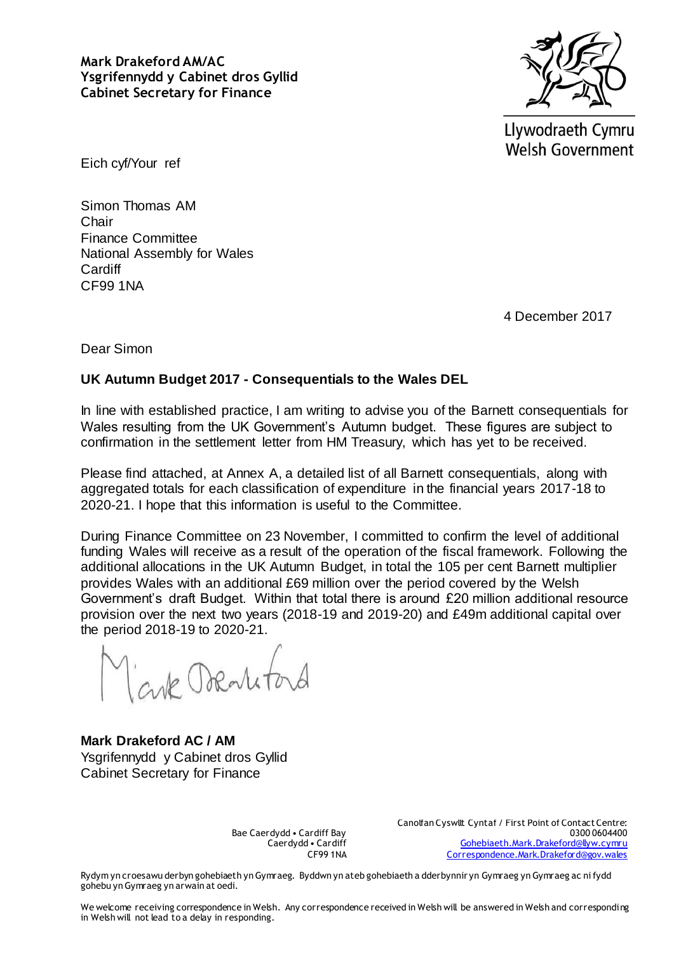**Mark Drakeford AM/AC Ysgrifennydd y Cabinet dros Gyllid Cabinet Secretary for Finance**



Llywodraeth Cymru **Welsh Government** 

Eich cyf/Your ref

Simon Thomas AM Chair Finance Committee National Assembly for Wales **Cardiff** CF99 1NA

4 December 2017

Dear Simon

## **UK Autumn Budget 2017 - Consequentials to the Wales DEL**

In line with established practice, I am writing to advise you of the Barnett consequentials for Wales resulting from the UK Government's Autumn budget. These figures are subject to confirmation in the settlement letter from HM Treasury, which has yet to be received.

Please find attached, at Annex A, a detailed list of all Barnett consequentials, along with aggregated totals for each classification of expenditure in the financial years 2017-18 to 2020-21. I hope that this information is useful to the Committee.

During Finance Committee on 23 November, I committed to confirm the level of additional funding Wales will receive as a result of the operation of the fiscal framework. Following the additional allocations in the UK Autumn Budget, in total the 105 per cent Barnett multiplier provides Wales with an additional £69 million over the period covered by the Welsh Government's draft Budget. Within that total there is around £20 million additional resource provision over the next two years (2018-19 and 2019-20) and £49m additional capital over the period 2018-19 to 2020-21.

suk Dornito

**Mark Drakeford AC / AM** Ysgrifennydd y Cabinet dros Gyllid Cabinet Secretary for Finance

Bae Caerdydd • Cardiff Bay Caerdydd • Cardiff CF99 1NA

Canolfan Cyswllt Cyntaf / First Point of Contact Centre: 0300 0604400 [Gohebiaeth.Mark.Drakeford@llyw.cymru](mailto:Gohebiaeth.Mark.Drakeford@llyw.cymru) [Correspondence.Mark.Drakeford@gov.wales](mailto:Correspondence.Mark.Drakeford@gov.wales)

Rydym yn croesawu derbyn gohebiaeth yn Gymraeg. Byddwn yn ateb gohebiaeth a dderbynnir yn Gymraeg yn Gymraeg ac ni fydd gohebu yn Gymraeg yn arwain at oedi.

We welcome receiving correspondence in Welsh. Any correspondence received in Welsh will be answered in Welsh and corresponding in Welsh will not lead to a delay in responding.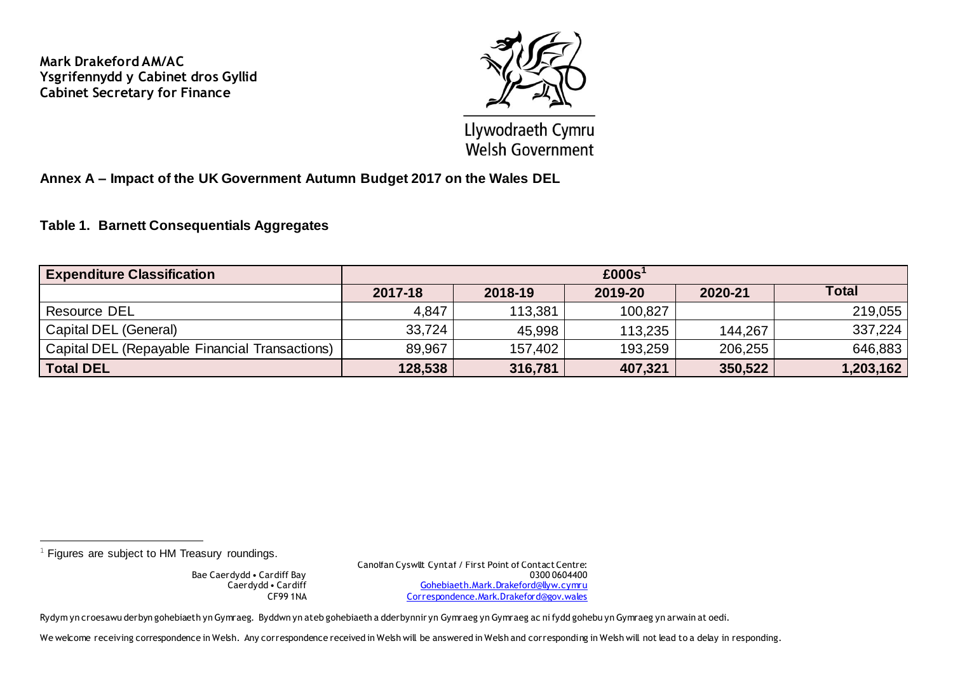**Mark Drakeford AM/AC Ysgrifennydd y Cabinet dros Gyllid Cabinet Secretary for Finance**



Llywodraeth Cymru **Welsh Government** 

**Annex A – Impact of the UK Government Autumn Budget 2017 on the Wales DEL**

## **Table 1. Barnett Consequentials Aggregates**

| <b>Expenditure Classification</b>              | £000s <sup>1</sup> |         |         |         |              |  |
|------------------------------------------------|--------------------|---------|---------|---------|--------------|--|
|                                                | 2017-18            | 2018-19 | 2019-20 | 2020-21 | <b>Total</b> |  |
| <b>Resource DEL</b>                            | 4,847              | 113,381 | 100,827 |         | 219,055      |  |
| Capital DEL (General)                          | 33,724             | 45,998  | 113,235 | 144.267 | 337,224      |  |
| Capital DEL (Repayable Financial Transactions) | 89,967             | 157,402 | 193,259 | 206,255 | 646,883      |  |
| <b>Total DEL</b>                               | 128,538            | 316,781 | 407,321 | 350,522 | 1,203,162    |  |

 $1$  Figures are subject to HM Treasury roundings.

<u>.</u>

Bae Caerdydd • Cardiff Bay Caerdydd • Cardiff CF99 1NA Canolfan Cyswllt Cyntaf / First Point of Contact Centre: 0300 0604400 [Gohebiaeth.Mark.Drakeford@llyw.cymru](mailto:Gohebiaeth.Mark.Drakeford@llyw.cymru) [Correspondence.Mark.Drakeford@gov.wales](mailto:Correspondence.Mark.Drakeford@gov.wales)

Rydym yn croesawu derbyn gohebiaeth yn Gymraeg. Byddwn yn ateb gohebiaeth a dderbynnir yn Gymraeg yn Gymraeg ac ni fydd gohebu yn Gymraeg yn arwain at oedi.

We welcome receiving correspondence in Welsh. Any correspondence received in Welsh will be answered in Welsh and corresponding in Welsh will not lead to a delay in responding.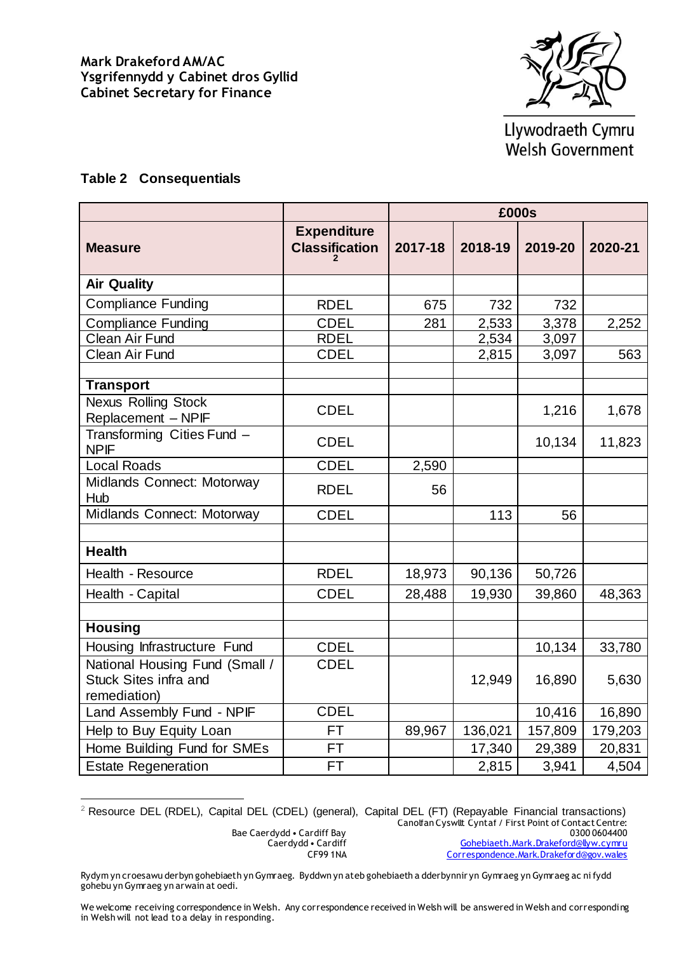

Llywodraeth Cymru **Welsh Government** 

## **Table 2 Consequentials**

|                                                                                |                                             | £000s   |         |         |         |
|--------------------------------------------------------------------------------|---------------------------------------------|---------|---------|---------|---------|
| <b>Measure</b>                                                                 | <b>Expenditure</b><br><b>Classification</b> | 2017-18 | 2018-19 | 2019-20 | 2020-21 |
| <b>Air Quality</b>                                                             |                                             |         |         |         |         |
| <b>Compliance Funding</b>                                                      | <b>RDEL</b>                                 | 675     | 732     | 732     |         |
| <b>Compliance Funding</b>                                                      | <b>CDEL</b>                                 | 281     | 2,533   | 3,378   | 2,252   |
| Clean Air Fund                                                                 | <b>RDEL</b>                                 |         | 2,534   | 3,097   |         |
| <b>Clean Air Fund</b>                                                          | <b>CDEL</b>                                 |         | 2,815   | 3,097   | 563     |
| <b>Transport</b>                                                               |                                             |         |         |         |         |
| <b>Nexus Rolling Stock</b><br>Replacement - NPIF                               | <b>CDEL</b>                                 |         |         | 1,216   | 1,678   |
| Transforming Cities Fund -<br><b>NPIF</b>                                      | <b>CDEL</b>                                 |         |         | 10,134  | 11,823  |
| <b>Local Roads</b>                                                             | <b>CDEL</b>                                 | 2,590   |         |         |         |
| Midlands Connect: Motorway<br>Hub                                              | <b>RDEL</b>                                 | 56      |         |         |         |
| Midlands Connect: Motorway                                                     | <b>CDEL</b>                                 |         | 113     | 56      |         |
|                                                                                |                                             |         |         |         |         |
| <b>Health</b>                                                                  |                                             |         |         |         |         |
| Health - Resource                                                              | <b>RDEL</b>                                 | 18,973  | 90,136  | 50,726  |         |
| Health - Capital                                                               | <b>CDEL</b>                                 | 28,488  | 19,930  | 39,860  | 48,363  |
|                                                                                |                                             |         |         |         |         |
| <b>Housing</b>                                                                 |                                             |         |         |         |         |
| Housing Infrastructure Fund                                                    | <b>CDEL</b>                                 |         |         | 10,134  | 33,780  |
| National Housing Fund (Small /<br><b>Stuck Sites infra and</b><br>remediation) | <b>CDEL</b>                                 |         | 12,949  | 16,890  | 5,630   |
| Land Assembly Fund - NPIF                                                      | <b>CDEL</b>                                 |         |         | 10,416  | 16,890  |
| Help to Buy Equity Loan                                                        | <b>FT</b>                                   | 89,967  | 136,021 | 157,809 | 179,203 |
| Home Building Fund for SMEs                                                    | <b>FT</b>                                   |         | 17,340  | 29,389  | 20,831  |
| <b>Estate Regeneration</b>                                                     | <b>FT</b>                                   |         | 2,815   | 3,941   | 4,504   |

<sup>2</sup> Resource DEL (RDEL), Capital DEL (CDEL) (general), Capital DEL (FT) (Repayable Financial transactions)

i<br>H

Canolfan Cyswllt Cyntaf / First Point of Contact Centre: 0300 0604400

Bae Caerdydd • Cardiff Bay Caerdydd • Cardiff CF99 1NA

[Gohebiaeth.Mark.Drakeford@llyw.cymru](mailto:Gohebiaeth.Mark.Drakeford@llyw.cymru) [Correspondence.Mark.Drakeford@gov.wales](mailto:Correspondence.Mark.Drakeford@gov.wales)

Rydym yn croesawu derbyn gohebiaeth yn Gymraeg. Byddwn yn ateb gohebiaeth a dderbynnir yn Gymraeg yn Gymraeg ac ni fydd gohebu yn Gymraeg yn arwain at oedi.

We welcome receiving correspondence in Welsh. Any correspondence received in Welsh will be answered in Welsh and corresponding in Welsh will not lead to a delay in responding.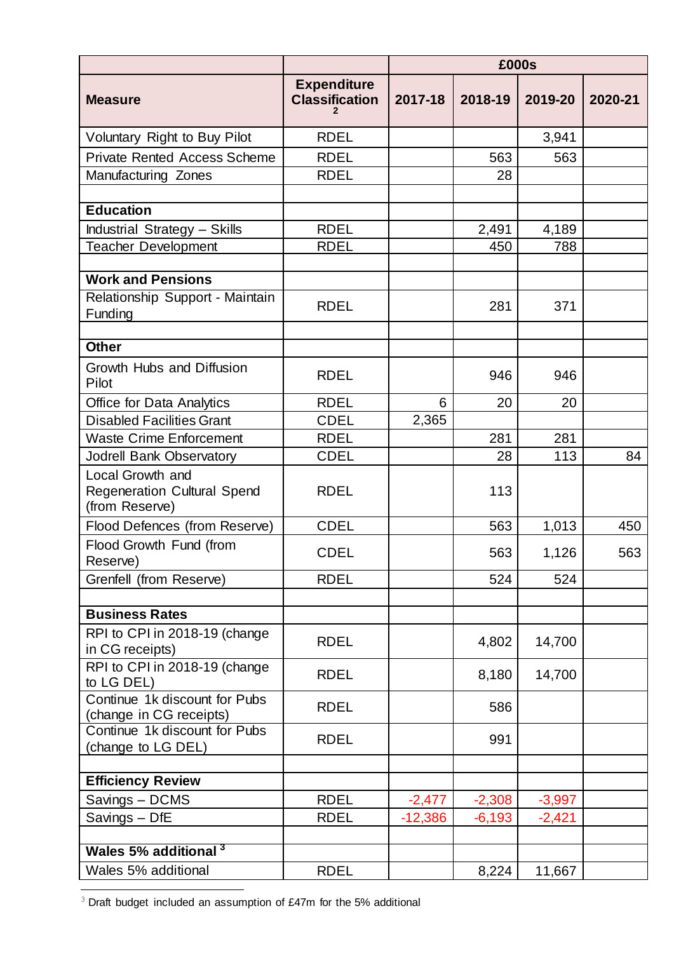|                                                                          |                                             | £000s     |          |          |         |
|--------------------------------------------------------------------------|---------------------------------------------|-----------|----------|----------|---------|
| <b>Measure</b>                                                           | <b>Expenditure</b><br><b>Classification</b> | 2017-18   | 2018-19  | 2019-20  | 2020-21 |
| Voluntary Right to Buy Pilot                                             | <b>RDEL</b>                                 |           |          | 3,941    |         |
| <b>Private Rented Access Scheme</b>                                      | <b>RDEL</b>                                 |           | 563      | 563      |         |
| Manufacturing Zones                                                      | <b>RDEL</b>                                 |           | 28       |          |         |
|                                                                          |                                             |           |          |          |         |
| <b>Education</b>                                                         |                                             |           |          |          |         |
| <b>Industrial Strategy - Skills</b>                                      | <b>RDEL</b>                                 |           | 2,491    | 4,189    |         |
| <b>Teacher Development</b>                                               | <b>RDEL</b>                                 |           | 450      | 788      |         |
|                                                                          |                                             |           |          |          |         |
| <b>Work and Pensions</b>                                                 |                                             |           |          |          |         |
| Relationship Support - Maintain<br>Funding                               | <b>RDEL</b>                                 |           | 281      | 371      |         |
|                                                                          |                                             |           |          |          |         |
| <b>Other</b>                                                             |                                             |           |          |          |         |
| Growth Hubs and Diffusion<br>Pilot                                       | <b>RDEL</b>                                 |           | 946      | 946      |         |
| <b>Office for Data Analytics</b>                                         | <b>RDEL</b>                                 | 6         | 20       | 20       |         |
| <b>Disabled Facilities Grant</b>                                         | <b>CDEL</b>                                 | 2,365     |          |          |         |
| <b>Waste Crime Enforcement</b>                                           | <b>RDEL</b>                                 |           | 281      | 281      |         |
| Jodrell Bank Observatory                                                 | <b>CDEL</b>                                 |           | 28       | 113      | 84      |
| Local Growth and<br><b>Regeneration Cultural Spend</b><br>(from Reserve) | <b>RDEL</b>                                 |           | 113      |          |         |
| Flood Defences (from Reserve)                                            | <b>CDEL</b>                                 |           | 563      | 1,013    | 450     |
| Flood Growth Fund (from<br>Reserve)                                      | <b>CDEL</b>                                 |           | 563      | 1,126    | 563     |
| Grenfell (from Reserve)                                                  | <b>RDEL</b>                                 |           | 524      | 524      |         |
|                                                                          |                                             |           |          |          |         |
| <b>Business Rates</b>                                                    |                                             |           |          |          |         |
| RPI to CPI in 2018-19 (change<br>in CG receipts)                         | <b>RDEL</b>                                 |           | 4,802    | 14,700   |         |
| RPI to CPI in 2018-19 (change<br>to LG DEL)                              | <b>RDEL</b>                                 |           | 8,180    | 14,700   |         |
| Continue 1k discount for Pubs<br>(change in CG receipts)                 | <b>RDEL</b>                                 |           | 586      |          |         |
| Continue 1k discount for Pubs<br>(change to LG DEL)                      | <b>RDEL</b>                                 |           | 991      |          |         |
| <b>Efficiency Review</b>                                                 |                                             |           |          |          |         |
| Savings - DCMS                                                           | <b>RDEL</b>                                 | $-2,477$  | $-2,308$ | $-3,997$ |         |
| Savings - DfE                                                            | <b>RDEL</b>                                 | $-12,386$ | $-6,193$ | $-2,421$ |         |
|                                                                          |                                             |           |          |          |         |
| Wales 5% additional 3                                                    |                                             |           |          |          |         |
| Wales 5% additional                                                      | <b>RDEL</b>                                 |           | 8,224    | 11,667   |         |
|                                                                          |                                             |           |          |          |         |

 $3$  Draft budget included an assumption of £47m for the 5% additional